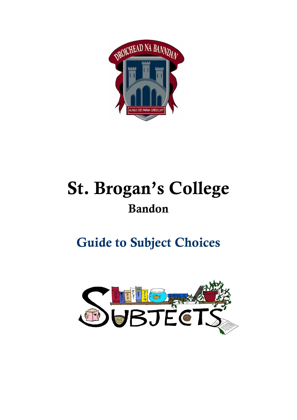

# St. Brogan's College Bandon

# Guide to Subject Choices

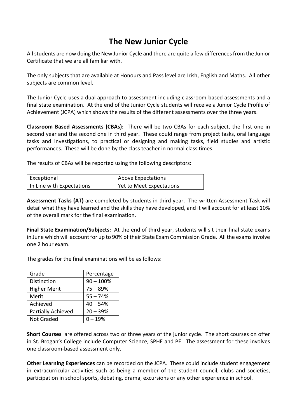# **The New Junior Cycle**

All students are now doing the New Junior Cycle and there are quite a few differences from the Junior Certificate that we are all familiar with.

The only subjects that are available at Honours and Pass level are Irish, English and Maths. All other subjects are common level.

The Junior Cycle uses a dual approach to assessment including classroom-based assessments and a final state examination. At the end of the Junior Cycle students will receive a Junior Cycle Profile of Achievement (JCPA) which shows the results of the different assessments over the three years.

**Classroom Based Assessments (CBAs):** There will be two CBAs for each subject, the first one in second year and the second one in third year. These could range from project tasks, oral language tasks and investigations, to practical or designing and making tasks, field studies and artistic performances. These will be done by the class teacher in normal class times.

The results of CBAs will be reported using the following descriptors:

| Exceptional               | Above Expectations       |
|---------------------------|--------------------------|
| In Line with Expectations | Yet to Meet Expectations |

**Assessment Tasks (AT)** are completed by students in third year. The written Assessment Task will detail what they have learned and the skills they have developed, and it will account for at least 10% of the overall mark for the final examination.

**Final State Examination/Subjects:** At the end of third year, students will sit their final state exams in June which will account for up to 90% of their State Exam Commission Grade. All the exams involve one 2 hour exam.

The grades for the final examinations will be as follows:

| Grade               | Percentage  |
|---------------------|-------------|
| <b>Distinction</b>  | $90 - 100%$ |
| <b>Higher Merit</b> | $75 - 89%$  |
| Merit               | $55 - 74%$  |
| Achieved            | $40 - 54%$  |
| Partially Achieved  | $20 - 39%$  |
| <b>Not Graded</b>   | $0 - 19%$   |

**Short Courses** are offered across two or three years of the junior cycle. The short courses on offer in St. Brogan's College include Computer Science, SPHE and PE. The assessment for these involves one classroom-based assessment only.

**Other Learning Experiences** can be recorded on the JCPA. These could include student engagement in extracurricular activities such as being a member of the student council, clubs and societies, participation in school sports, debating, drama, excursions or any other experience in school.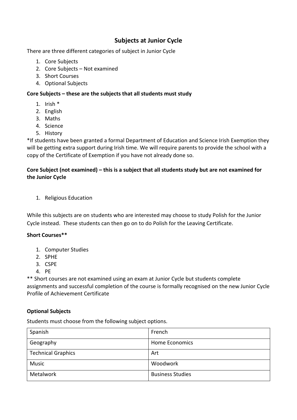### **Subjects at Junior Cycle**

There are three different categories of subject in Junior Cycle

- 1. Core Subjects
- 2. Core Subjects Not examined
- 3. Short Courses
- 4. Optional Subjects

#### **Core Subjects – these are the subjects that all students must study**

- 1. Irish \*
- 2. English
- 3. Maths
- 4. Science
- 5. History

\*If students have been granted a formal Department of Education and Science Irish Exemption they will be getting extra support during Irish time. We will require parents to provide the school with a copy of the Certificate of Exemption if you have not already done so.

#### **Core Subject (not examined) – this is a subject that all students study but are not examined for the Junior Cycle**

1. Religious Education

While this subjects are on students who are interested may choose to study Polish for the Junior Cycle instead. These students can then go on to do Polish for the Leaving Certificate.

#### **Short Courses\*\***

- 1. Computer Studies
- 2. SPHE
- 3. CSPE
- 4. PE

\*\* Short courses are not examined using an exam at Junior Cycle but students complete assignments and successful completion of the course is formally recognised on the new Junior Cycle Profile of Achievement Certificate

#### **Optional Subjects**

Students must choose from the following subject options.

| Spanish                   | French                  |
|---------------------------|-------------------------|
| Geography                 | Home Economics          |
| <b>Technical Graphics</b> | Art                     |
| <b>Music</b>              | Woodwork                |
| Metalwork                 | <b>Business Studies</b> |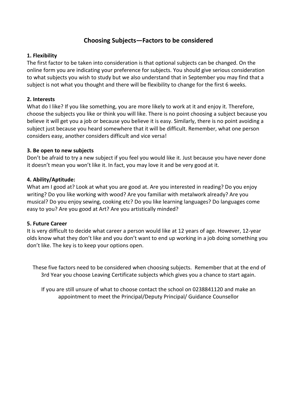#### **Choosing Subjects—Factors to be considered**

#### **1. Flexibility**

The first factor to be taken into consideration is that optional subjects can be changed. On the online form you are indicating your preference for subjects. You should give serious consideration to what subjects you wish to study but we also understand that in September you may find that a subject is not what you thought and there will be flexibility to change for the first 6 weeks.

#### **2. Interests**

What do I like? If you like something, you are more likely to work at it and enjoy it. Therefore, choose the subjects you like or think you will like. There is no point choosing a subject because you believe it will get you a job or because you believe it is easy. Similarly, there is no point avoiding a subject just because you heard somewhere that it will be difficult. Remember, what one person considers easy, another considers difficult and vice versa!

#### **3. Be open to new subjects**

Don't be afraid to try a new subject if you feel you would like it. Just because you have never done it doesn't mean you won't like it. In fact, you may love it and be very good at it.

#### **4. Ability/Aptitude:**

What am I good at? Look at what you are good at. Are you interested in reading? Do you enjoy writing? Do you like working with wood? Are you familiar with metalwork already? Are you musical? Do you enjoy sewing, cooking etc? Do you like learning languages? Do languages come easy to you? Are you good at Art? Are you artistically minded?

#### **5. Future Career**

It is very difficult to decide what career a person would like at 12 years of age. However, 12-year olds know what they don't like and you don't want to end up working in a job doing something you don't like. The key is to keep your options open.

These five factors need to be considered when choosing subjects. Remember that at the end of 3rd Year you choose Leaving Certificate subjects which gives you a chance to start again.

If you are still unsure of what to choose contact the school on 0238841120 and make an appointment to meet the Principal/Deputy Principal/ Guidance Counsellor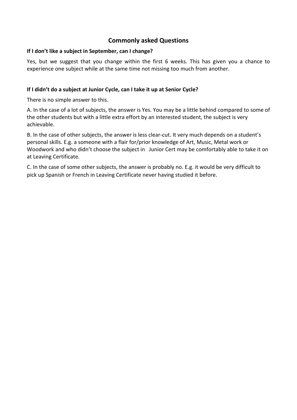#### **Commonly asked Questions**

#### **If I don't like a subject in September, can I change?**

Yes, but we suggest that you change within the first 6 weeks. This has given you a chance to experience one subject while at the same time not missing too much from another.

#### **If I didn't do a subject at Junior Cycle, can I take it up at Senior Cycle?**

There is no simple answer to this.

A. In the case of a lot of subjects, the answer is Yes. You may be a little behind compared to some of the other students but with a little extra effort by an interested student, the subject is very achievable.

B. In the case of other subjects, the answer is less clear-cut. It very much depends on a student's personal skills. E.g. a someone with a flair for/prior knowledge of Art, Music, Metal work or Woodwork and who didn't choose the subject in Junior Cert may be comfortably able to take it on at Leaving Certificate.

C. In the case of some other subjects, the answer is probably no. E.g. it would be very difficult to pick up Spanish or French in Leaving Certificate never having studied it before.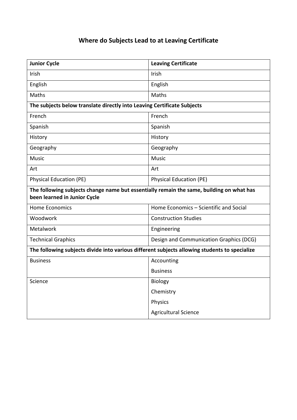## **Where do Subjects Lead to at Leaving Certificate**

| <b>Junior Cycle</b>                                                                                                      | <b>Leaving Certificate</b>              |  |
|--------------------------------------------------------------------------------------------------------------------------|-----------------------------------------|--|
| Irish                                                                                                                    | Irish                                   |  |
| English                                                                                                                  | English                                 |  |
| <b>Maths</b>                                                                                                             | Maths                                   |  |
| The subjects below translate directly into Leaving Certificate Subjects                                                  |                                         |  |
| French                                                                                                                   | French                                  |  |
| Spanish                                                                                                                  | Spanish                                 |  |
| History                                                                                                                  | History                                 |  |
| Geography                                                                                                                | Geography                               |  |
| <b>Music</b>                                                                                                             | <b>Music</b>                            |  |
| Art                                                                                                                      | Art                                     |  |
| <b>Physical Education (PE)</b>                                                                                           | <b>Physical Education (PE)</b>          |  |
| The following subjects change name but essentially remain the same, building on what has<br>been learned in Junior Cycle |                                         |  |
| <b>Home Economics</b>                                                                                                    | Home Economics - Scientific and Social  |  |
| Woodwork                                                                                                                 | <b>Construction Studies</b>             |  |
| Metalwork                                                                                                                | Engineering                             |  |
| <b>Technical Graphics</b>                                                                                                | Design and Communication Graphics (DCG) |  |
| The following subjects divide into various different subjects allowing students to specialize                            |                                         |  |
| <b>Business</b>                                                                                                          | Accounting                              |  |
|                                                                                                                          | <b>Business</b>                         |  |
| Science                                                                                                                  | <b>Biology</b>                          |  |
|                                                                                                                          | Chemistry                               |  |
|                                                                                                                          | Physics                                 |  |
|                                                                                                                          | <b>Agricultural Science</b>             |  |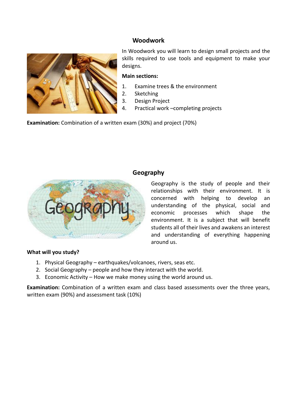#### **Woodwork**



In Woodwork you will learn to design small projects and the skills required to use tools and equipment to make your designs.

#### **Main sections:**

- 1. Examine trees & the environment
- 2. Sketching
- 3. Design Project
- 4. Practical work –completing projects

**Examination:** Combination of a written exam (30%) and project (70%)



#### **Geography**

Geography is the study of people and their relationships with their environment. It is concerned with helping to develop an understanding of the physical, social and economic processes which shape the environment. It is a subject that will benefit students all of their lives and awakens an interest and understanding of everything happening around us.

#### **What will you study?**

- 1. Physical Geography earthquakes/volcanoes, rivers, seas etc.
- 2. Social Geography people and how they interact with the world.
- 3. Economic Activity How we make money using the world around us.

**Examination:** Combination of a written exam and class based assessments over the three years, written exam (90%) and assessment task (10%)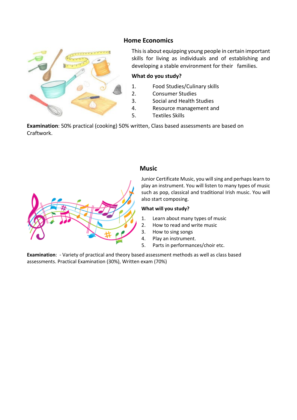#### **Home Economics**



This is about equipping young people in certain important skills for living as individuals and of establishing and developing a stable environment for their families.

#### **What do you study?**

- 1. Food Studies/Culinary skills
- 2. Consumer Studies
- 3. Social and Health Studies
- 4. Resource management and
- 5. Textiles Skills

**Examination**: 50% practical (cooking) 50% written, Class based assessments are based on Craftwork.



#### **Music**

Junior Certificate Music, you will sing and perhaps learn to play an instrument. You will listen to many types of music such as pop, classical and traditional Irish music. You will also start composing.

#### **What will you study?**

- 1. Learn about many types of music
- 2. How to read and write music
- 3. How to sing songs
- 4. Play an instrument.
- 5. Parts in performances/choir etc.

**Examination**: - Variety of practical and theory based assessment methods as well as class based assessments. Practical Examination (30%), Written exam (70%)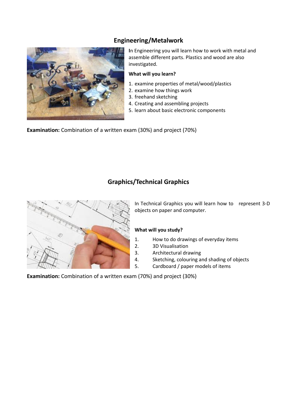### **Engineering/Metalwork**



**I**n Engineering you will learn how to work with metal and assemble different parts. Plastics and wood are also investigated.

#### **What will you learn?**

- 1. examine properties of metal/wood/plastics
- 2. examine how things work
- 3. freehand sketching
- 4. Creating and assembling projects
- 5. learn about basic electronic components

**Examination:** Combination of a written exam (30%) and project (70%)

#### **Graphics/Technical Graphics**



In Technical Graphics you will learn how to represent 3-D objects on paper and computer.

#### **What will you study?**

- 1. How to do drawings of everyday items
- 2. 3D Visualisation
- 3. Architectural drawing
- 4. Sketching, colouring and shading of objects
- 5. Cardboard / paper models of items

**Examination:** Combination of a written exam (70%) and project (30%)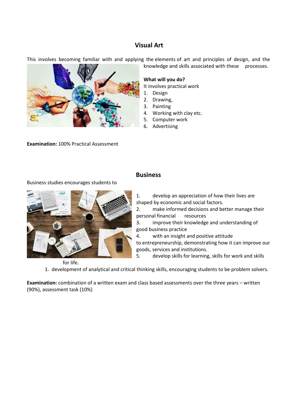#### **Visual Art**

This involves becoming familiar with and applying the elements of art and principles of design, and the knowledge and skills associated with these processes.

**Examination:** 100% Practical Assessment

Business studies encourages students to

**What will you do?** 

It involves practical work

- 1. Design
- 2. Drawing,
- 3. Painting
- 4. Working with clay etc.
- 5. Computer work 6. Advertising

**Business**

1. develop an appreciation of how their lives are

shaped by economic and social factors.

2. make informed decisions and better manage their personal financial resources

3. improve their knowledge and understanding of good business practice

4. with an insight and positive attitude

to entrepreneurship, demonstrating how it can improve our goods, services and institutions.

5. develop skills for learning, skills for work and skills

1. development of analytical and critical thinking skills, encouraging students to be problem solvers.

**Examination:** combination of a written exam and class based assessments over the three years – written (90%), assessment task (10%)



for life.